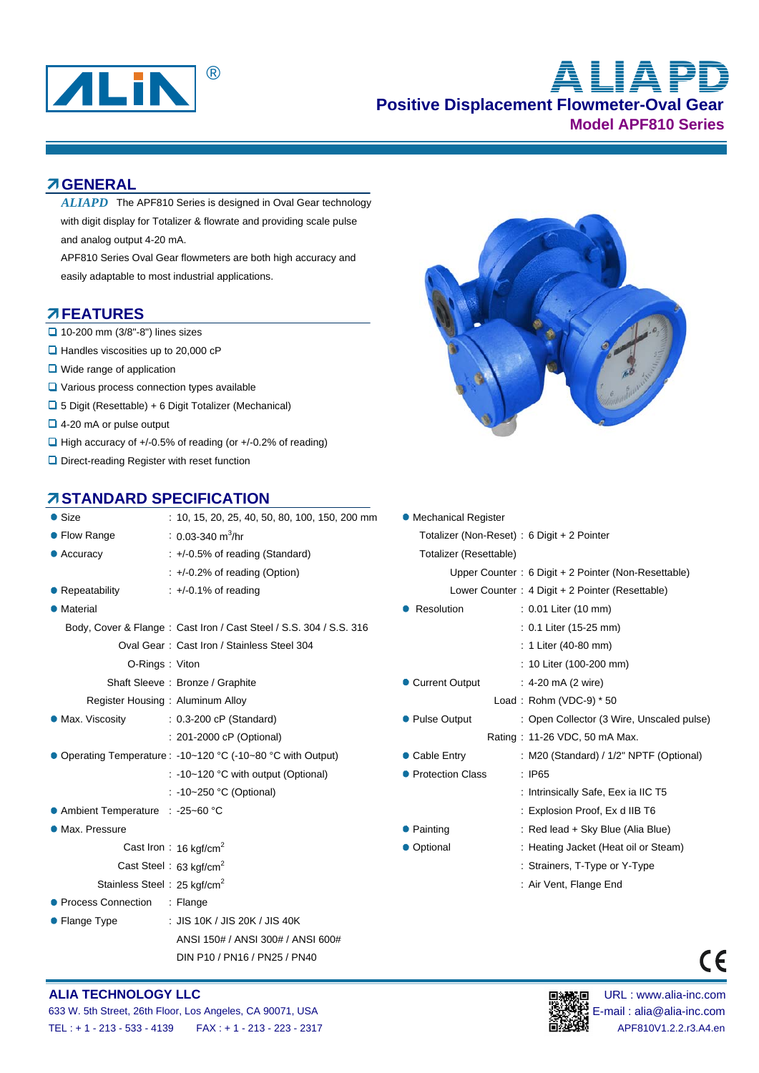

# **Positive Displacement Flowmeter-Oval Gear Model APF810 Series** ® **ALIAPD**

#### **GENERAL**

ALIAPD The APF810 Series is designed in Oval Gear technology with digit display for Totalizer & flowrate and providing scale pulse and analog output 4-20 mA.

APF810 Series Oval Gear flowmeters are both high accuracy and easily adaptable to most industrial applications.

#### **FEATURES**

- $\Box$  10-200 mm (3/8"-8") lines sizes
- $\Box$  Handles viscosities up to 20,000 cP
- **Q** Wide range of application
- **Q** Various process connection types available
- 5 Digit (Resettable) + 6 Digit Totalizer (Mechanical)
- 4-20 mA or pulse output
- $\Box$  High accuracy of +/-0.5% of reading (or +/-0.2% of reading)
- □ Direct-reading Register with reset function

#### **STANDARD SPECIFICATION**

| ● Size                            | : 10, 15, 20, 25, 40, 50, 80, 100, 150, 200 mm                     | <b>• Mechanical Register</b> |                                                 |  |  |  |  |
|-----------------------------------|--------------------------------------------------------------------|------------------------------|-------------------------------------------------|--|--|--|--|
| • Flow Range                      | : 0.03-340 $m^3$ /hr                                               |                              | Totalizer (Non-Reset) : 6 Digit + 2 Pointer     |  |  |  |  |
| • Accuracy                        | $\div$ +/-0.5% of reading (Standard)                               | Totalizer (Resettable)       |                                                 |  |  |  |  |
|                                   | $\div$ +/-0.2% of reading (Option)                                 |                              | Upper Counter: 6 Digit + 2 Pointer (Non-Resetta |  |  |  |  |
| • Repeatability                   | $\div$ +/-0.1% of reading                                          |                              | Lower Counter: 4 Digit + 2 Pointer (Resettable) |  |  |  |  |
| • Material                        |                                                                    | • Resolution                 | : 0.01 Liter (10 mm)                            |  |  |  |  |
|                                   | Body, Cover & Flange: Cast Iron / Cast Steel / S.S. 304 / S.S. 316 |                              | : 0.1 Liter (15-25 mm)                          |  |  |  |  |
|                                   | Oval Gear: Cast Iron / Stainless Steel 304                         |                              | : 1 Liter (40-80 mm)                            |  |  |  |  |
|                                   | O-Rings: Viton                                                     |                              | : 10 Liter (100-200 mm)                         |  |  |  |  |
|                                   | Shaft Sleeve: Bronze / Graphite                                    | • Current Output             | $: 4-20 \text{ mA} (2 \text{ wire})$            |  |  |  |  |
|                                   | Register Housing: Aluminum Alloy                                   |                              | Load: Rohm (VDC-9) $*$ 50                       |  |  |  |  |
| • Max. Viscosity                  | $: 0.3-200$ cP (Standard)                                          | • Pulse Output               | : Open Collector (3 Wire, Unscal                |  |  |  |  |
|                                   | : 201-2000 cP (Optional)                                           |                              | Rating: 11-26 VDC, 50 mA Max.                   |  |  |  |  |
|                                   | ● Operating Temperature : -10~120 °C (-10~80 °C with Output)       | • Cable Entry                | : M20 (Standard) / 1/2" NPTF (O                 |  |  |  |  |
|                                   | : -10~120 °C with output (Optional)                                | • Protection Class           | $\therefore$ IP65                               |  |  |  |  |
|                                   | : -10~250 °C (Optional)                                            |                              | : Intrinsically Safe, Eex ia IIC T5             |  |  |  |  |
| ● Ambient Temperature : -25~60 °C |                                                                    |                              | : Explosion Proof, Ex d IIB T6                  |  |  |  |  |
| • Max. Pressure                   |                                                                    | • Painting                   | : Red lead + Sky Blue (Alia Blue)               |  |  |  |  |
|                                   | Cast Iron: 16 kgf/cm <sup>2</sup>                                  | • Optional                   | : Heating Jacket (Heat oil or Stea              |  |  |  |  |
|                                   | Cast Steel: 63 kgf/cm <sup>2</sup>                                 |                              | : Strainers, T-Type or Y-Type                   |  |  |  |  |
|                                   | Stainless Steel: 25 kgf/cm <sup>2</sup>                            |                              | : Air Vent, Flange End                          |  |  |  |  |
| • Process Connection              | : Flange                                                           |                              |                                                 |  |  |  |  |
| • Flange Type                     | : JIS 10K / JIS 20K / JIS 40K                                      |                              |                                                 |  |  |  |  |
|                                   | ANSI 150# / ANSI 300# / ANSI 600#                                  |                              |                                                 |  |  |  |  |
|                                   | DIN P10 / PN16 / PN25 / PN40                                       |                              |                                                 |  |  |  |  |



| Size                                    | $: 10, 15, 20, 25, 40, 50, 80, 100, 150, 200$ mm                   | • Mechanical Register                      |                                                     |  |  |  |  |
|-----------------------------------------|--------------------------------------------------------------------|--------------------------------------------|-----------------------------------------------------|--|--|--|--|
| Flow Range                              | : 0.03-340 m <sup>3</sup> /hr                                      | Totalizer (Non-Reset): 6 Digit + 2 Pointer |                                                     |  |  |  |  |
| Accuracy                                | $\div$ +/-0.5% of reading (Standard)                               | Totalizer (Resettable)                     |                                                     |  |  |  |  |
|                                         | $\div$ +/-0.2% of reading (Option)                                 |                                            | Upper Counter: 6 Digit + 2 Pointer (Non-Resettable) |  |  |  |  |
| Repeatability                           | $\div$ +/-0.1% of reading                                          |                                            | Lower Counter: 4 Digit + 2 Pointer (Resettable)     |  |  |  |  |
| Material                                |                                                                    | • Resolution                               | : 0.01 Liter (10 mm)                                |  |  |  |  |
|                                         | Body, Cover & Flange: Cast Iron / Cast Steel / S.S. 304 / S.S. 316 |                                            | $: 0.1$ Liter (15-25 mm)                            |  |  |  |  |
|                                         | Oval Gear: Cast Iron / Stainless Steel 304                         |                                            | : 1 Liter (40-80 mm)                                |  |  |  |  |
| O-Rings: Viton                          |                                                                    |                                            | : 10 Liter (100-200 mm)                             |  |  |  |  |
|                                         | Shaft Sleeve: Bronze / Graphite                                    | • Current Output                           | : $4-20$ mA (2 wire)                                |  |  |  |  |
|                                         | Register Housing: Aluminum Alloy                                   |                                            | Load: Rohm (VDC-9) $*50$                            |  |  |  |  |
| Max. Viscosity                          | : 0.3-200 cP (Standard)                                            | • Pulse Output                             | : Open Collector (3 Wire, Unscaled pulse)           |  |  |  |  |
|                                         | : 201-2000 cP (Optional)                                           |                                            | Rating: 11-26 VDC, 50 mA Max.                       |  |  |  |  |
|                                         | Operating Temperature: -10~120 °C (-10~80 °C with Output)          | • Cable Entry                              | : M20 (Standard) / 1/2" NPTF (Optional)             |  |  |  |  |
|                                         | $: -10 - 120$ °C with output (Optional)                            | • Protection Class                         | $\therefore$ IP65                                   |  |  |  |  |
|                                         | : -10~250 °C (Optional)                                            |                                            | : Intrinsically Safe, Eex ia IIC T5                 |  |  |  |  |
| Ambient Temperature : -25~60 °C         |                                                                    |                                            | : Explosion Proof, Ex d IIB T6                      |  |  |  |  |
| Max. Pressure                           |                                                                    | • Painting                                 | : Red lead + Sky Blue (Alia Blue)                   |  |  |  |  |
|                                         | Cast Iron: 16 kgf/cm <sup>2</sup>                                  | • Optional                                 | : Heating Jacket (Heat oil or Steam)                |  |  |  |  |
|                                         | Cast Steel: 63 kgf/cm <sup>2</sup>                                 |                                            | : Strainers, T-Type or Y-Type                       |  |  |  |  |
| Stainless Steel: 25 kgf/cm <sup>2</sup> |                                                                    |                                            | : Air Vent, Flange End                              |  |  |  |  |
|                                         |                                                                    |                                            |                                                     |  |  |  |  |



 $\epsilon$ 

#### **ALIA TECHNOLOGY LLC DEVICED AND RESOLUTION OF THE URL : www.alia-inc.com**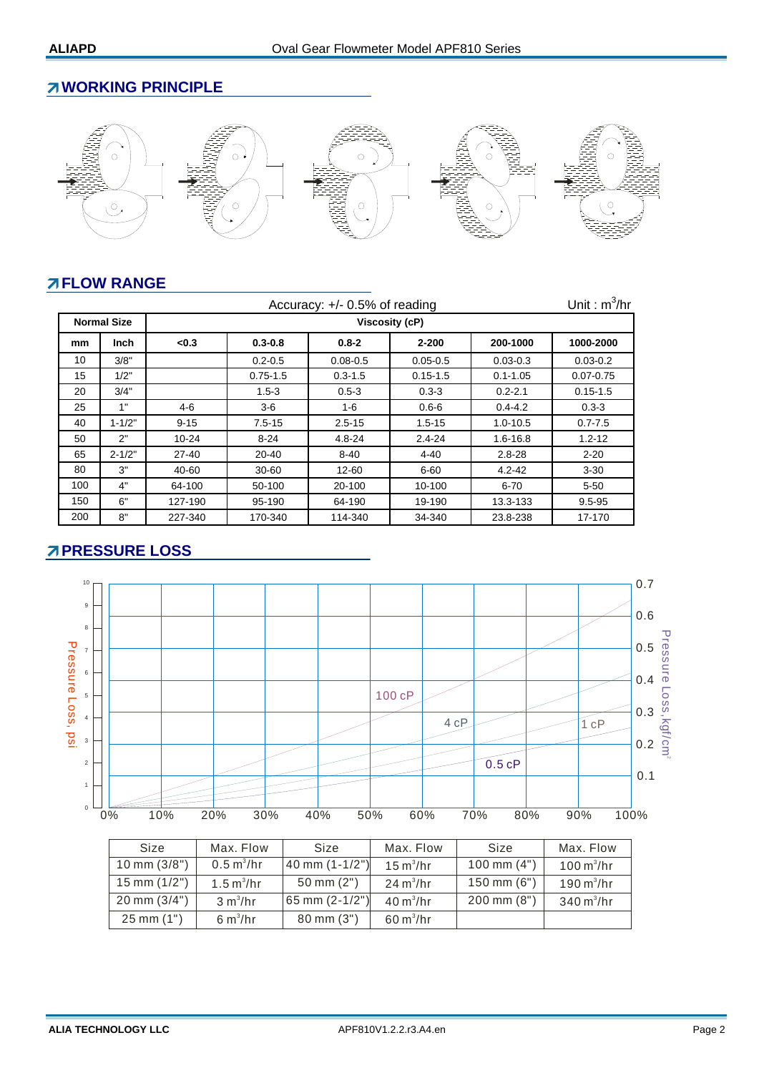## **WORKING PRINCIPLE**



# **FLOW RANGE**

|     | Unit: $m^3/hr$<br>Accuracy: +/- 0.5% of reading |                      |              |              |              |              |               |  |  |  |  |
|-----|-------------------------------------------------|----------------------|--------------|--------------|--------------|--------------|---------------|--|--|--|--|
|     | <b>Normal Size</b>                              | Viscosity (cP)       |              |              |              |              |               |  |  |  |  |
| mm  | <b>Inch</b>                                     | $0.3 - 0.8$<br>< 0.3 |              | $0.8 - 2$    | $2 - 200$    | 200-1000     | 1000-2000     |  |  |  |  |
| 10  | 3/8"                                            |                      | $0.2 - 0.5$  | $0.08 - 0.5$ | $0.05 - 0.5$ | $0.03 - 0.3$ | $0.03 - 0.2$  |  |  |  |  |
| 15  | 1/2"                                            |                      | $0.75 - 1.5$ | $0.3 - 1.5$  | $0.15 - 1.5$ | $0.1 - 1.05$ | $0.07 - 0.75$ |  |  |  |  |
| 20  | 3/4"                                            |                      | $1.5 - 3$    | $0.5 - 3$    | $0.3 - 3$    | $0.2 - 2.1$  | $0.15 - 1.5$  |  |  |  |  |
| 25  | 1"                                              | 4-6                  | $3-6$        | 1-6          | $0.6 - 6$    | $0.4 - 4.2$  | $0.3 - 3$     |  |  |  |  |
| 40  | $1 - 1/2"$                                      | $9 - 15$             | $7.5 - 15$   | $2.5 - 15$   | $1.5 - 15$   | $1.0 - 10.5$ | $0.7 - 7.5$   |  |  |  |  |
| 50  | 2"                                              | $10 - 24$            | $8 - 24$     | 4.8-24       | $2.4 - 24$   | $1.6 - 16.8$ | $1.2 - 12$    |  |  |  |  |
| 65  | $2 - 1/2"$                                      | 27-40                | 20-40        | $8 - 40$     | 4-40         | $2.8 - 28$   | $2 - 20$      |  |  |  |  |
| 80  | 3"                                              | 40-60                | 30-60        | 12-60        | $6 - 60$     | $4.2 - 42$   | $3 - 30$      |  |  |  |  |
| 100 | 4"                                              | 64-100               | 50-100       | 20-100       | 10-100       | $6 - 70$     | $5 - 50$      |  |  |  |  |
| 150 | 6"                                              | 127-190              | 95-190       | 64-190       | 19-190       | 13.3-133     | $9.5 - 95$    |  |  |  |  |
| 200 | 8"                                              | 227-340              | 170-340      | 114-340      | 34-340       | 23.8-238     | 17-170        |  |  |  |  |

# **PRESSURE LOSS**



| Size                    | Max. Flow                   | Size                   | Max. Flow                  | Size                    | Max. Flow                   |
|-------------------------|-----------------------------|------------------------|----------------------------|-------------------------|-----------------------------|
| $10 \text{ mm } (3/8")$ | $0.5 \text{ m}^3/\text{hr}$ | 40 mm $(1-1/2")$       | $15 \text{ m}^3/\text{hr}$ | $100 \text{ mm} (4")$   | $100 \text{ m}^3/\text{hr}$ |
| $15$ mm $(1/2")$        | $1.5 \text{ m}^3/\text{hr}$ | $50 \, \text{mm}$ (2") | $24 \text{ m}^3/\text{hr}$ | $150 \text{ mm} (6")$   | $190 \text{ m}^3/\text{hr}$ |
| $20 \text{ mm } (3/4")$ | 3 m <sup>3</sup> /hr        | 65 mm $(2-1/2")$       | $40 \text{ m}^3/\text{hr}$ | $200 \, \text{mm}$ (8") | $340 \text{ m}^3/\text{hr}$ |
| $25 \, \text{mm}$ (1")  | 6 m <sup>3</sup> /hr        | $80 \text{ mm} (3")$   | $60 \text{ m}^3$ /hr       |                         |                             |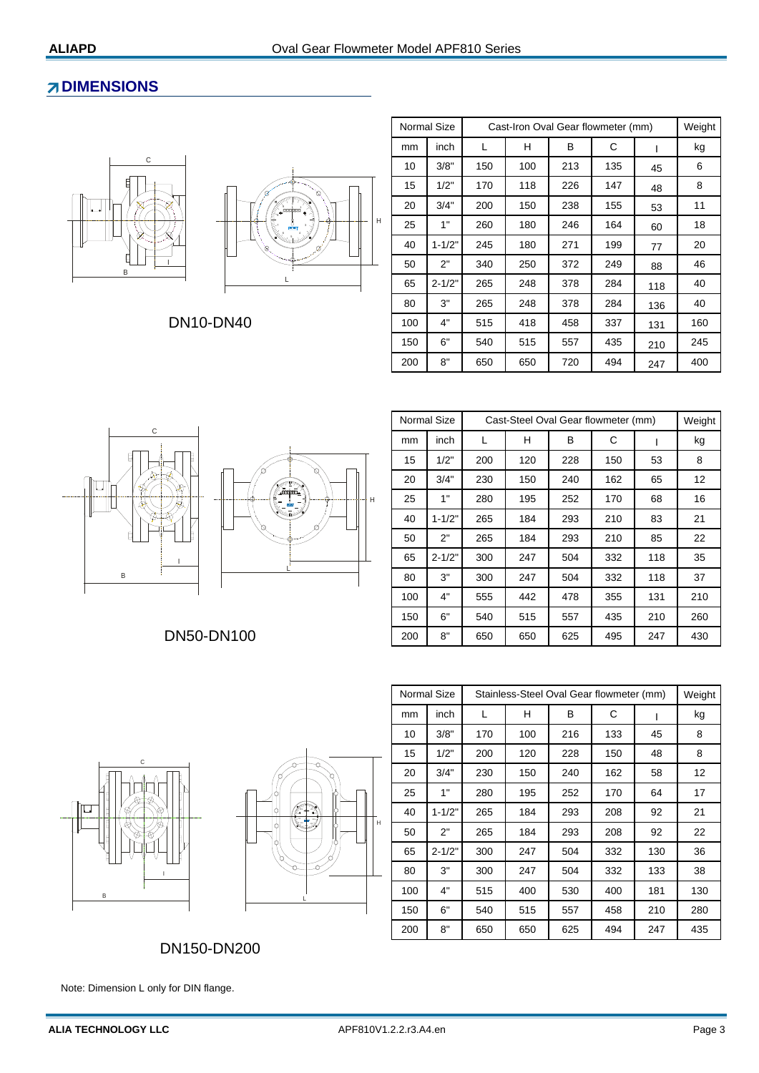#### **ZDIMENSIONS**





DN10-DN40

|     | Normal Size | Cast-Iron Oval Gear flowmeter (mm) |     |     |     |     |     |  |
|-----|-------------|------------------------------------|-----|-----|-----|-----|-----|--|
| mm  | inch        | L                                  | н   | В   | С   |     | kg  |  |
| 10  | 3/8"        | 150                                | 100 | 213 | 135 | 45  | 6   |  |
| 15  | 1/2"        | 170                                | 118 | 226 | 147 | 48  | 8   |  |
| 20  | 3/4"        | 200                                | 150 | 238 | 155 | 53  | 11  |  |
| 25  | 1"          | 260                                | 180 | 246 | 164 | 60  | 18  |  |
| 40  | $1 - 1/2"$  | 245                                | 180 | 271 | 199 | 77  | 20  |  |
| 50  | 2"          | 340                                | 250 | 372 | 249 | 88  | 46  |  |
| 65  | $2 - 1/2"$  | 265                                | 248 | 378 | 284 | 118 | 40  |  |
| 80  | 3"          | 265                                | 248 | 378 | 284 | 136 | 40  |  |
| 100 | 4"          | 515                                | 418 | 458 | 337 | 131 | 160 |  |
| 150 | 6"          | 540                                | 515 | 557 | 435 | 210 | 245 |  |
| 200 | 8"          | 650                                | 650 | 720 | 494 | 247 | 400 |  |



|     | Normal Size | Cast-Steel Oval Gear flowmeter (mm) | Weight |            |     |     |     |
|-----|-------------|-------------------------------------|--------|------------|-----|-----|-----|
| mm  | inch        | L                                   | н      | в          | С   | ı   | kg  |
| 15  | 1/2"        | 200                                 | 120    | 228<br>150 |     | 53  | 8   |
| 20  | 3/4"        | 230                                 | 150    | 162<br>240 |     | 65  | 12  |
| 25  | 1"          | 280                                 | 195    | 252        | 170 | 68  | 16  |
| 40  | $1 - 1/2"$  | 265                                 | 184    | 293        | 210 | 83  | 21  |
| 50  | 2"          | 265                                 | 184    | 293        | 210 | 85  | 22  |
| 65  | $2 - 1/2"$  | 300                                 | 247    | 504        | 332 | 118 | 35  |
| 80  | 3"          | 300                                 | 247    | 504        | 332 | 118 | 37  |
| 100 | 4"          | 555                                 | 442    | 478        | 355 | 131 | 210 |
| 150 | 6"          | 540                                 | 515    | 557        | 435 | 210 | 260 |
| 200 | 8"          | 650                                 | 650    | 625        | 495 | 247 | 430 |

DN50-DN100





|     | <b>Normal Size</b> | Stainless-Steel Oval Gear flowmeter (mm) | Weight |     |     |     |     |
|-----|--------------------|------------------------------------------|--------|-----|-----|-----|-----|
| mm  | inch               | L                                        | H      | В   | С   |     | kg  |
| 10  | 3/8"               | 170                                      | 100    | 216 | 133 | 45  | 8   |
| 15  | 1/2"               | 200                                      | 120    | 228 | 150 | 48  | 8   |
| 20  | 3/4"               | 230                                      | 150    | 240 | 162 | 58  | 12  |
| 25  | 1"                 | 280                                      | 195    | 252 | 170 | 64  | 17  |
| 40  | $1 - 1/2"$         | 265                                      | 184    | 293 | 208 | 92  | 21  |
| 50  | 2"                 | 265                                      | 184    | 293 | 208 | 92  | 22  |
| 65  | $2 - 1/2"$         | 300                                      | 247    | 504 | 332 | 130 | 36  |
| 80  | 3"                 | 300                                      | 247    | 504 | 332 | 133 | 38  |
| 100 | 4"                 | 515                                      | 400    | 530 | 400 | 181 | 130 |
| 150 | 6"                 | 540                                      | 515    | 557 | 458 | 210 | 280 |
| 200 | 8"                 | 650                                      | 650    | 625 | 494 | 247 | 435 |

DN150-DN200

Note: Dimension L only for DIN flange.